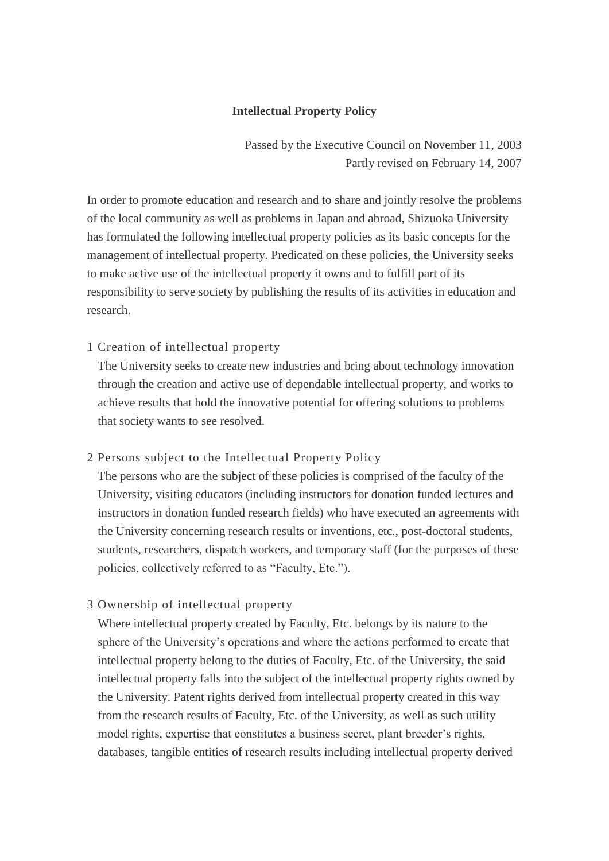## **Intellectual Property Policy**

Passed by the Executive Council on November 11, 2003 Partly revised on February 14, 2007

In order to promote education and research and to share and jointly resolve the problems of the local community as well as problems in Japan and abroad, Shizuoka University has formulated the following intellectual property policies as its basic concepts for the management of intellectual property. Predicated on these policies, the University seeks to make active use of the intellectual property it owns and to fulfill part of its responsibility to serve society by publishing the results of its activities in education and research.

## 1 Creation of intellectual property

The University seeks to create new industries and bring about technology innovation through the creation and active use of dependable intellectual property, and works to achieve results that hold the innovative potential for offering solutions to problems that society wants to see resolved.

### 2 Persons subject to the Intellectual Property Policy

The persons who are the subject of these policies is comprised of the faculty of the University, visiting educators (including instructors for donation funded lectures and instructors in donation funded research fields) who have executed an agreements with the University concerning research results or inventions, etc., post-doctoral students, students, researchers, dispatch workers, and temporary staff (for the purposes of these policies, collectively referred to as "Faculty, Etc.").

# 3 Ownership of intellectual property

Where intellectual property created by Faculty, Etc. belongs by its nature to the sphere of the University's operations and where the actions performed to create that intellectual property belong to the duties of Faculty, Etc. of the University, the said intellectual property falls into the subject of the intellectual property rights owned by the University. Patent rights derived from intellectual property created in this way from the research results of Faculty, Etc. of the University, as well as such utility model rights, expertise that constitutes a business secret, plant breeder's rights, databases, tangible entities of research results including intellectual property derived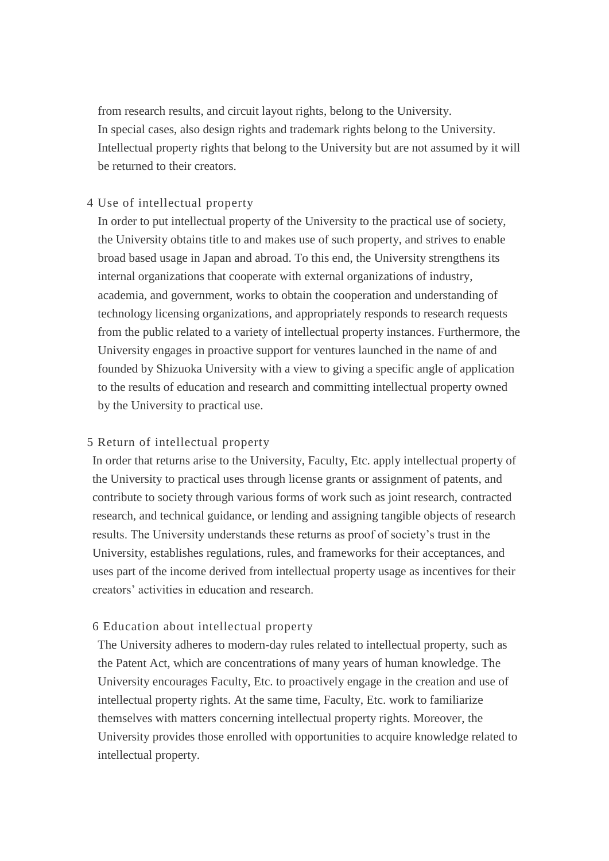from research results, and circuit layout rights, belong to the University. In special cases, also design rights and trademark rights belong to the University. Intellectual property rights that belong to the University but are not assumed by it will be returned to their creators.

# 4 Use of intellectual property

In order to put intellectual property of the University to the practical use of society, the University obtains title to and makes use of such property, and strives to enable broad based usage in Japan and abroad. To this end, the University strengthens its internal organizations that cooperate with external organizations of industry, academia, and government, works to obtain the cooperation and understanding of technology licensing organizations, and appropriately responds to research requests from the public related to a variety of intellectual property instances. Furthermore, the University engages in proactive support for ventures launched in the name of and founded by Shizuoka University with a view to giving a specific angle of application to the results of education and research and committing intellectual property owned by the University to practical use.

### 5 Return of intellectual property

In order that returns arise to the University, Faculty, Etc. apply intellectual property of the University to practical uses through license grants or assignment of patents, and contribute to society through various forms of work such as joint research, contracted research, and technical guidance, or lending and assigning tangible objects of research results. The University understands these returns as proof of society's trust in the University, establishes regulations, rules, and frameworks for their acceptances, and uses part of the income derived from intellectual property usage as incentives for their creators' activities in education and research.

### 6 Education about intellectual property

The University adheres to modern-day rules related to intellectual property, such as the Patent Act, which are concentrations of many years of human knowledge. The University encourages Faculty, Etc. to proactively engage in the creation and use of intellectual property rights. At the same time, Faculty, Etc. work to familiarize themselves with matters concerning intellectual property rights. Moreover, the University provides those enrolled with opportunities to acquire knowledge related to intellectual property.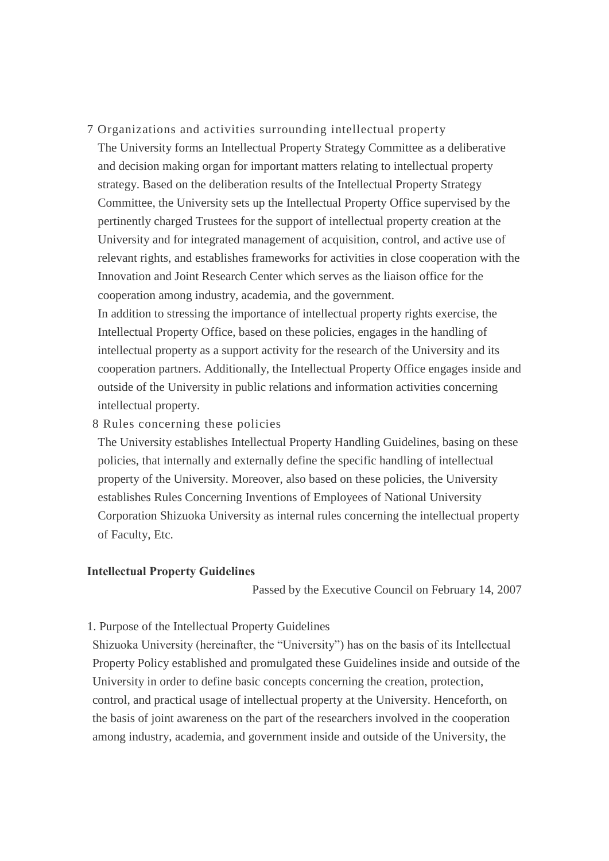7 Organizations and activities surrounding intellectual property

The University forms an Intellectual Property Strategy Committee as a deliberative and decision making organ for important matters relating to intellectual property strategy. Based on the deliberation results of the Intellectual Property Strategy Committee, the University sets up the Intellectual Property Office supervised by the pertinently charged Trustees for the support of intellectual property creation at the University and for integrated management of acquisition, control, and active use of relevant rights, and establishes frameworks for activities in close cooperation with the Innovation and Joint Research Center which serves as the liaison office for the cooperation among industry, academia, and the government.

In addition to stressing the importance of intellectual property rights exercise, the Intellectual Property Office, based on these policies, engages in the handling of intellectual property as a support activity for the research of the University and its cooperation partners. Additionally, the Intellectual Property Office engages inside and outside of the University in public relations and information activities concerning intellectual property.

8 Rules concerning these policies

The University establishes Intellectual Property Handling Guidelines, basing on these policies, that internally and externally define the specific handling of intellectual property of the University. Moreover, also based on these policies, the University establishes Rules Concerning Inventions of Employees of National University Corporation Shizuoka University as internal rules concerning the intellectual property of Faculty, Etc.

### **Intellectual Property Guidelines**

Passed by the Executive Council on February 14, 2007

1. Purpose of the Intellectual Property Guidelines

Shizuoka University (hereinafter, the "University") has on the basis of its Intellectual Property Policy established and promulgated these Guidelines inside and outside of the University in order to define basic concepts concerning the creation, protection, control, and practical usage of intellectual property at the University. Henceforth, on the basis of joint awareness on the part of the researchers involved in the cooperation among industry, academia, and government inside and outside of the University, the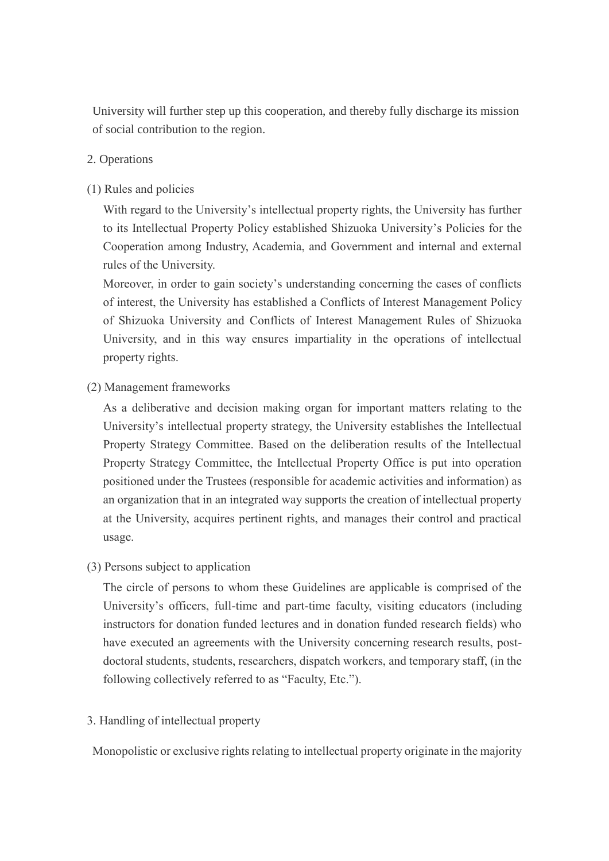University will further step up this cooperation, and thereby fully discharge its mission of social contribution to the region.

## 2. Operations

### (1) Rules and policies

With regard to the University's intellectual property rights, the University has further to its Intellectual Property Policy established Shizuoka University's Policies for the Cooperation among Industry, Academia, and Government and internal and external rules of the University.

Moreover, in order to gain society's understanding concerning the cases of conflicts of interest, the University has established a Conflicts of Interest Management Policy of Shizuoka University and Conflicts of Interest Management Rules of Shizuoka University, and in this way ensures impartiality in the operations of intellectual property rights.

(2) Management frameworks

As a deliberative and decision making organ for important matters relating to the University's intellectual property strategy, the University establishes the Intellectual Property Strategy Committee. Based on the deliberation results of the Intellectual Property Strategy Committee, the Intellectual Property Office is put into operation positioned under the Trustees (responsible for academic activities and information) as an organization that in an integrated way supports the creation of intellectual property at the University, acquires pertinent rights, and manages their control and practical usage.

(3) Persons subject to application

The circle of persons to whom these Guidelines are applicable is comprised of the University's officers, full-time and part-time faculty, visiting educators (including instructors for donation funded lectures and in donation funded research fields) who have executed an agreements with the University concerning research results, postdoctoral students, students, researchers, dispatch workers, and temporary staff, (in the following collectively referred to as "Faculty, Etc.").

3. Handling of intellectual property

Monopolistic or exclusive rights relating to intellectual property originate in the majority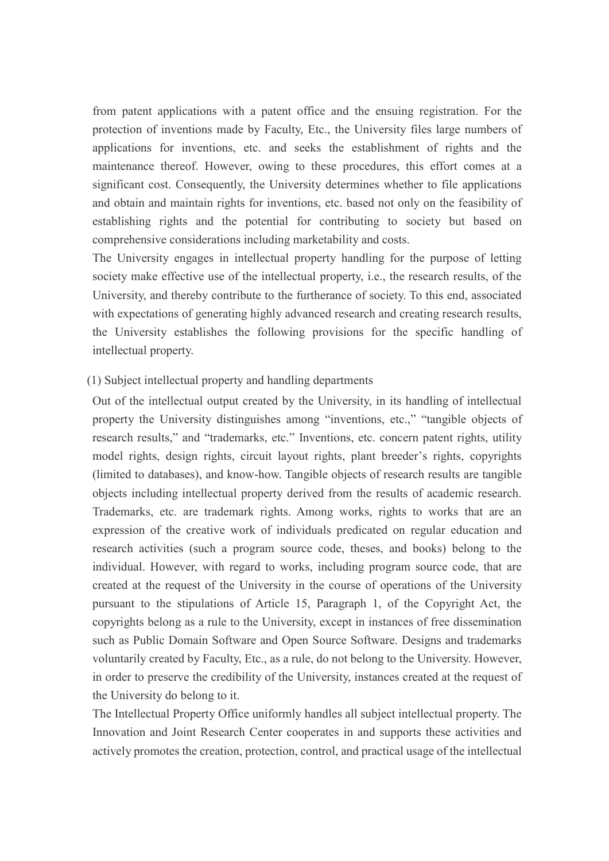from patent applications with a patent office and the ensuing registration. For the protection of inventions made by Faculty, Etc., the University files large numbers of applications for inventions, etc. and seeks the establishment of rights and the maintenance thereof. However, owing to these procedures, this effort comes at a significant cost. Consequently, the University determines whether to file applications and obtain and maintain rights for inventions, etc. based not only on the feasibility of establishing rights and the potential for contributing to society but based on comprehensive considerations including marketability and costs.

The University engages in intellectual property handling for the purpose of letting society make effective use of the intellectual property, i.e., the research results, of the University, and thereby contribute to the furtherance of society. To this end, associated with expectations of generating highly advanced research and creating research results, the University establishes the following provisions for the specific handling of intellectual property.

## (1) Subject intellectual property and handling departments

Out of the intellectual output created by the University, in its handling of intellectual property the University distinguishes among "inventions, etc.," "tangible objects of research results," and "trademarks, etc." Inventions, etc. concern patent rights, utility model rights, design rights, circuit layout rights, plant breeder's rights, copyrights (limited to databases), and know-how. Tangible objects of research results are tangible objects including intellectual property derived from the results of academic research. Trademarks, etc. are trademark rights. Among works, rights to works that are an expression of the creative work of individuals predicated on regular education and research activities (such a program source code, theses, and books) belong to the individual. However, with regard to works, including program source code, that are created at the request of the University in the course of operations of the University pursuant to the stipulations of Article 15, Paragraph 1, of the Copyright Act, the copyrights belong as a rule to the University, except in instances of free dissemination such as Public Domain Software and Open Source Software. Designs and trademarks voluntarily created by Faculty, Etc., as a rule, do not belong to the University. However, in order to preserve the credibility of the University, instances created at the request of the University do belong to it.

The Intellectual Property Office uniformly handles all subject intellectual property. The Innovation and Joint Research Center cooperates in and supports these activities and actively promotes the creation, protection, control, and practical usage of the intellectual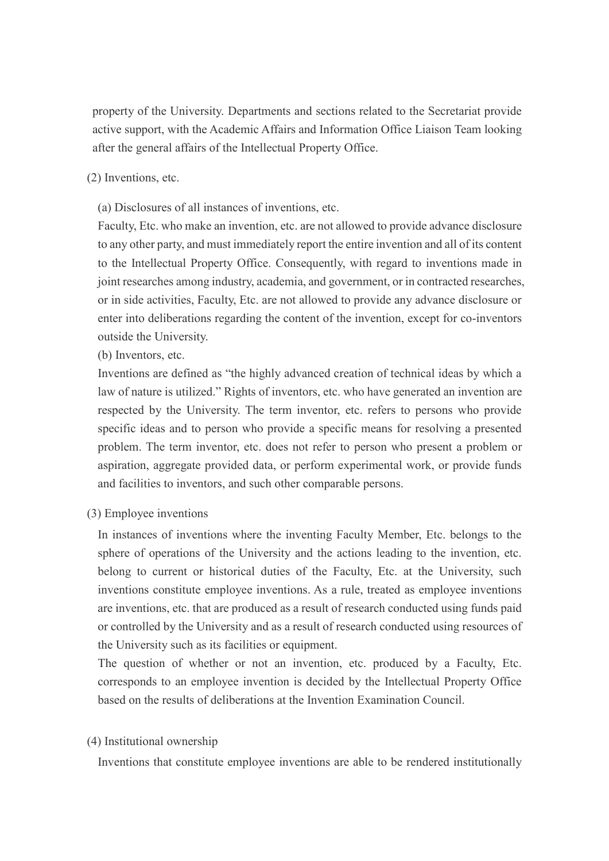property of the University. Departments and sections related to the Secretariat provide active support, with the Academic Affairs and Information Office Liaison Team looking after the general affairs of the Intellectual Property Office.

(2) Inventions, etc.

(a) Disclosures of all instances of inventions, etc.

Faculty, Etc. who make an invention, etc. are not allowed to provide advance disclosure to any other party, and must immediately report the entire invention and all of its content to the Intellectual Property Office. Consequently, with regard to inventions made in joint researches among industry, academia, and government, or in contracted researches, or in side activities, Faculty, Etc. are not allowed to provide any advance disclosure or enter into deliberations regarding the content of the invention, except for co-inventors outside the University.

(b) Inventors, etc.

Inventions are defined as "the highly advanced creation of technical ideas by which a law of nature is utilized." Rights of inventors, etc. who have generated an invention are respected by the University. The term inventor, etc. refers to persons who provide specific ideas and to person who provide a specific means for resolving a presented problem. The term inventor, etc. does not refer to person who present a problem or aspiration, aggregate provided data, or perform experimental work, or provide funds and facilities to inventors, and such other comparable persons.

(3) Employee inventions

In instances of inventions where the inventing Faculty Member, Etc. belongs to the sphere of operations of the University and the actions leading to the invention, etc. belong to current or historical duties of the Faculty, Etc. at the University, such inventions constitute employee inventions. As a rule, treated as employee inventions are inventions, etc. that are produced as a result of research conducted using funds paid or controlled by the University and as a result of research conducted using resources of the University such as its facilities or equipment.

The question of whether or not an invention, etc. produced by a Faculty, Etc. corresponds to an employee invention is decided by the Intellectual Property Office based on the results of deliberations at the Invention Examination Council.

### (4) Institutional ownership

Inventions that constitute employee inventions are able to be rendered institutionally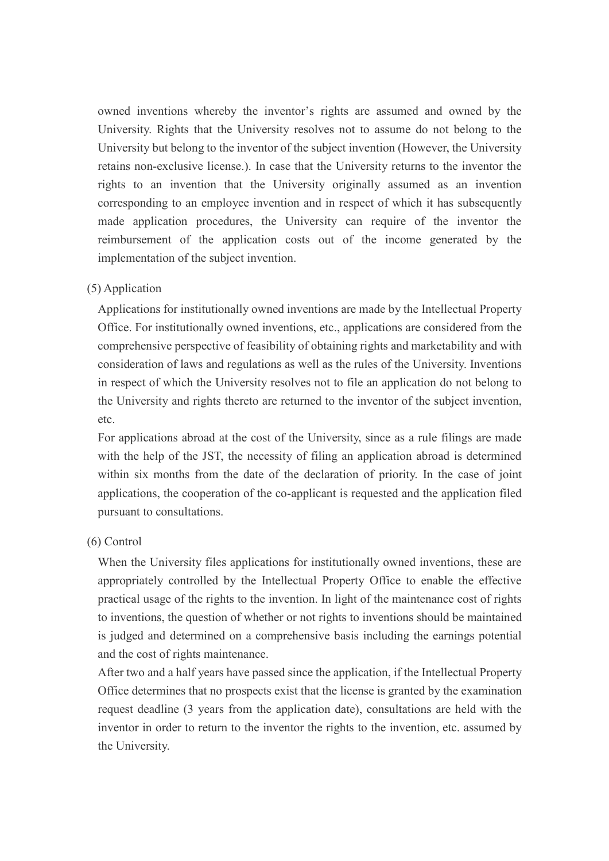owned inventions whereby the inventor's rights are assumed and owned by the University. Rights that the University resolves not to assume do not belong to the University but belong to the inventor of the subject invention (However, the University retains non-exclusive license.). In case that the University returns to the inventor the rights to an invention that the University originally assumed as an invention corresponding to an employee invention and in respect of which it has subsequently made application procedures, the University can require of the inventor the reimbursement of the application costs out of the income generated by the implementation of the subject invention.

## (5) Application

Applications for institutionally owned inventions are made by the Intellectual Property Office. For institutionally owned inventions, etc., applications are considered from the comprehensive perspective of feasibility of obtaining rights and marketability and with consideration of laws and regulations as well as the rules of the University. Inventions in respect of which the University resolves not to file an application do not belong to the University and rights thereto are returned to the inventor of the subject invention, etc.

For applications abroad at the cost of the University, since as a rule filings are made with the help of the JST, the necessity of filing an application abroad is determined within six months from the date of the declaration of priority. In the case of joint applications, the cooperation of the co-applicant is requested and the application filed pursuant to consultations.

### (6) Control

When the University files applications for institutionally owned inventions, these are appropriately controlled by the Intellectual Property Office to enable the effective practical usage of the rights to the invention. In light of the maintenance cost of rights to inventions, the question of whether or not rights to inventions should be maintained is judged and determined on a comprehensive basis including the earnings potential and the cost of rights maintenance.

After two and a half years have passed since the application, if the Intellectual Property Office determines that no prospects exist that the license is granted by the examination request deadline (3 years from the application date), consultations are held with the inventor in order to return to the inventor the rights to the invention, etc. assumed by the University.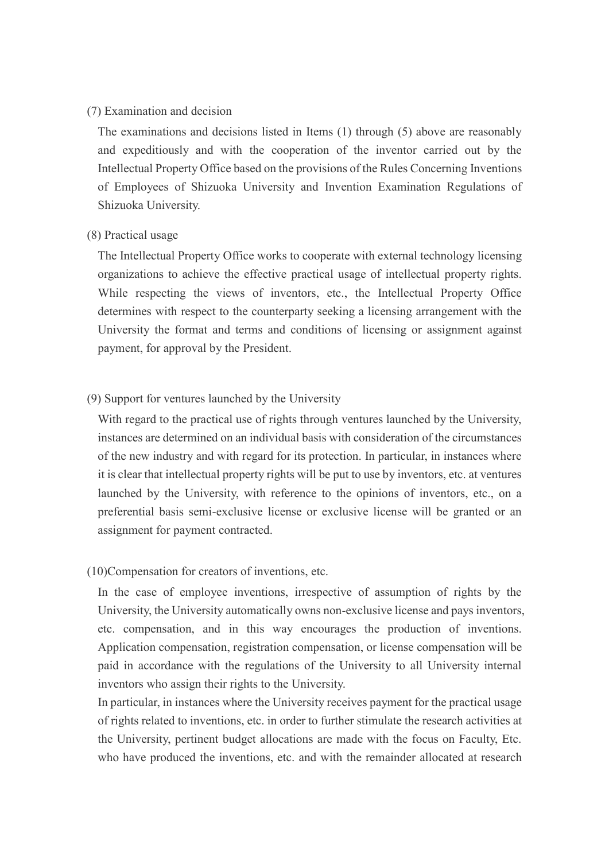#### (7) Examination and decision

The examinations and decisions listed in Items (1) through (5) above are reasonably and expeditiously and with the cooperation of the inventor carried out by the Intellectual Property Office based on the provisions of the Rules Concerning Inventions of Employees of Shizuoka University and Invention Examination Regulations of Shizuoka University.

#### (8) Practical usage

The Intellectual Property Office works to cooperate with external technology licensing organizations to achieve the effective practical usage of intellectual property rights. While respecting the views of inventors, etc., the Intellectual Property Office determines with respect to the counterparty seeking a licensing arrangement with the University the format and terms and conditions of licensing or assignment against payment, for approval by the President.

### (9) Support for ventures launched by the University

With regard to the practical use of rights through ventures launched by the University, instances are determined on an individual basis with consideration of the circumstances of the new industry and with regard for its protection. In particular, in instances where it is clear that intellectual property rights will be put to use by inventors, etc. at ventures launched by the University, with reference to the opinions of inventors, etc., on a preferential basis semi-exclusive license or exclusive license will be granted or an assignment for payment contracted.

#### (10)Compensation for creators of inventions, etc.

In the case of employee inventions, irrespective of assumption of rights by the University, the University automatically owns non-exclusive license and pays inventors, etc. compensation, and in this way encourages the production of inventions. Application compensation, registration compensation, or license compensation will be paid in accordance with the regulations of the University to all University internal inventors who assign their rights to the University.

In particular, in instances where the University receives payment for the practical usage of rights related to inventions, etc. in order to further stimulate the research activities at the University, pertinent budget allocations are made with the focus on Faculty, Etc. who have produced the inventions, etc. and with the remainder allocated at research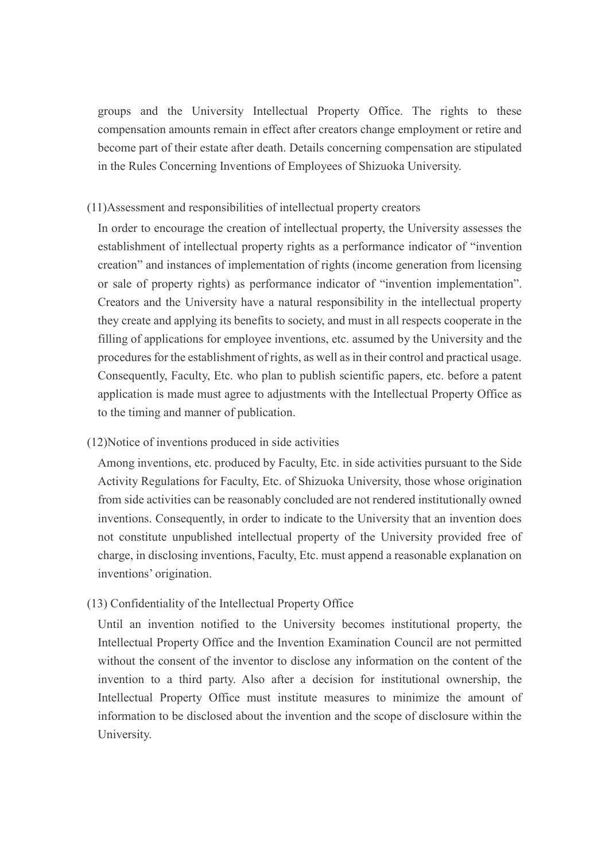groups and the University Intellectual Property Office. The rights to these compensation amounts remain in effect after creators change employment or retire and become part of their estate after death. Details concerning compensation are stipulated in the Rules Concerning Inventions of Employees of Shizuoka University.

### (11)Assessment and responsibilities of intellectual property creators

In order to encourage the creation of intellectual property, the University assesses the establishment of intellectual property rights as a performance indicator of "invention creation" and instances of implementation of rights (income generation from licensing or sale of property rights) as performance indicator of "invention implementation". Creators and the University have a natural responsibility in the intellectual property they create and applying its benefits to society, and must in all respects cooperate in the filling of applications for employee inventions, etc. assumed by the University and the procedures for the establishment of rights, as well as in their control and practical usage. Consequently, Faculty, Etc. who plan to publish scientific papers, etc. before a patent application is made must agree to adjustments with the Intellectual Property Office as to the timing and manner of publication.

### (12)Notice of inventions produced in side activities

Among inventions, etc. produced by Faculty, Etc. in side activities pursuant to the Side Activity Regulations for Faculty, Etc. of Shizuoka University, those whose origination from side activities can be reasonably concluded are not rendered institutionally owned inventions. Consequently, in order to indicate to the University that an invention does not constitute unpublished intellectual property of the University provided free of charge, in disclosing inventions, Faculty, Etc. must append a reasonable explanation on inventions' origination.

### (13) Confidentiality of the Intellectual Property Office

Until an invention notified to the University becomes institutional property, the Intellectual Property Office and the Invention Examination Council are not permitted without the consent of the inventor to disclose any information on the content of the invention to a third party. Also after a decision for institutional ownership, the Intellectual Property Office must institute measures to minimize the amount of information to be disclosed about the invention and the scope of disclosure within the University.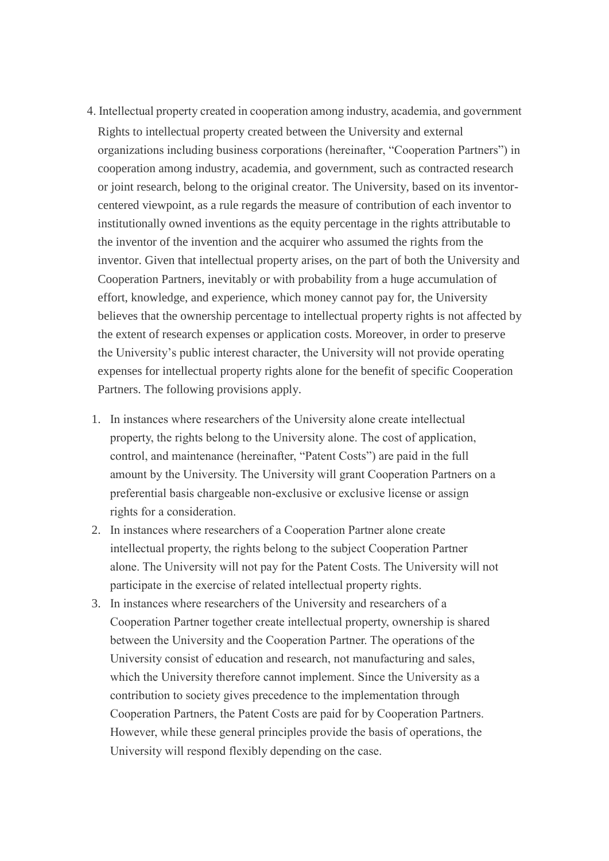- 4. Intellectual property created in cooperation among industry, academia, and government Rights to intellectual property created between the University and external organizations including business corporations (hereinafter, "Cooperation Partners") in cooperation among industry, academia, and government, such as contracted research or joint research, belong to the original creator. The University, based on its inventorcentered viewpoint, as a rule regards the measure of contribution of each inventor to institutionally owned inventions as the equity percentage in the rights attributable to the inventor of the invention and the acquirer who assumed the rights from the inventor. Given that intellectual property arises, on the part of both the University and Cooperation Partners, inevitably or with probability from a huge accumulation of effort, knowledge, and experience, which money cannot pay for, the University believes that the ownership percentage to intellectual property rights is not affected by the extent of research expenses or application costs. Moreover, in order to preserve the University's public interest character, the University will not provide operating expenses for intellectual property rights alone for the benefit of specific Cooperation Partners. The following provisions apply.
- 1. In instances where researchers of the University alone create intellectual property, the rights belong to the University alone. The cost of application, control, and maintenance (hereinafter, "Patent Costs") are paid in the full amount by the University. The University will grant Cooperation Partners on a preferential basis chargeable non-exclusive or exclusive license or assign rights for a consideration.
- 2. In instances where researchers of a Cooperation Partner alone create intellectual property, the rights belong to the subject Cooperation Partner alone. The University will not pay for the Patent Costs. The University will not participate in the exercise of related intellectual property rights.
- 3. In instances where researchers of the University and researchers of a Cooperation Partner together create intellectual property, ownership is shared between the University and the Cooperation Partner. The operations of the University consist of education and research, not manufacturing and sales, which the University therefore cannot implement. Since the University as a contribution to society gives precedence to the implementation through Cooperation Partners, the Patent Costs are paid for by Cooperation Partners. However, while these general principles provide the basis of operations, the University will respond flexibly depending on the case.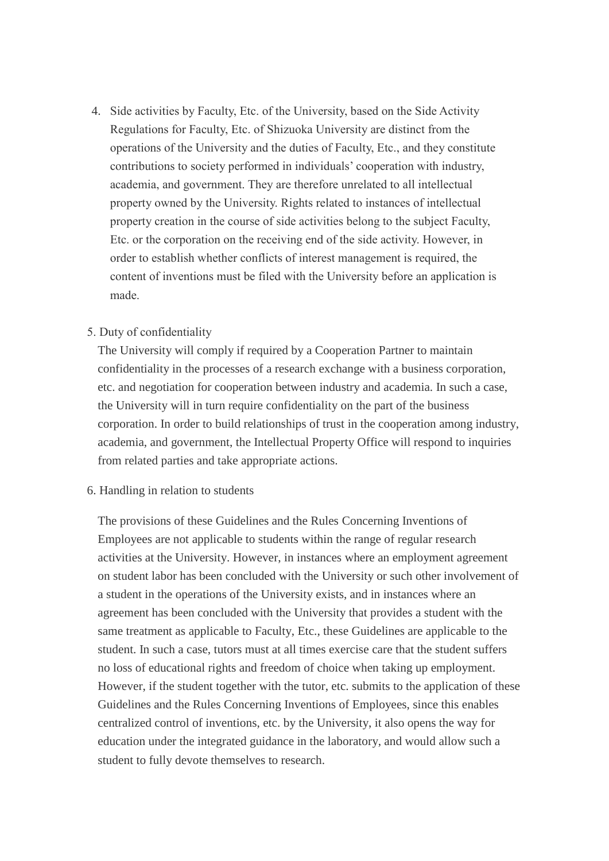4. Side activities by Faculty, Etc. of the University, based on the Side Activity Regulations for Faculty, Etc. of Shizuoka University are distinct from the operations of the University and the duties of Faculty, Etc., and they constitute contributions to society performed in individuals' cooperation with industry, academia, and government. They are therefore unrelated to all intellectual property owned by the University. Rights related to instances of intellectual property creation in the course of side activities belong to the subject Faculty, Etc. or the corporation on the receiving end of the side activity. However, in order to establish whether conflicts of interest management is required, the content of inventions must be filed with the University before an application is made.

## 5. Duty of confidentiality

The University will comply if required by a Cooperation Partner to maintain confidentiality in the processes of a research exchange with a business corporation, etc. and negotiation for cooperation between industry and academia. In such a case, the University will in turn require confidentiality on the part of the business corporation. In order to build relationships of trust in the cooperation among industry, academia, and government, the Intellectual Property Office will respond to inquiries from related parties and take appropriate actions.

### 6. Handling in relation to students

The provisions of these Guidelines and the Rules Concerning Inventions of Employees are not applicable to students within the range of regular research activities at the University. However, in instances where an employment agreement on student labor has been concluded with the University or such other involvement of a student in the operations of the University exists, and in instances where an agreement has been concluded with the University that provides a student with the same treatment as applicable to Faculty, Etc., these Guidelines are applicable to the student. In such a case, tutors must at all times exercise care that the student suffers no loss of educational rights and freedom of choice when taking up employment. However, if the student together with the tutor, etc. submits to the application of these Guidelines and the Rules Concerning Inventions of Employees, since this enables centralized control of inventions, etc. by the University, it also opens the way for education under the integrated guidance in the laboratory, and would allow such a student to fully devote themselves to research.